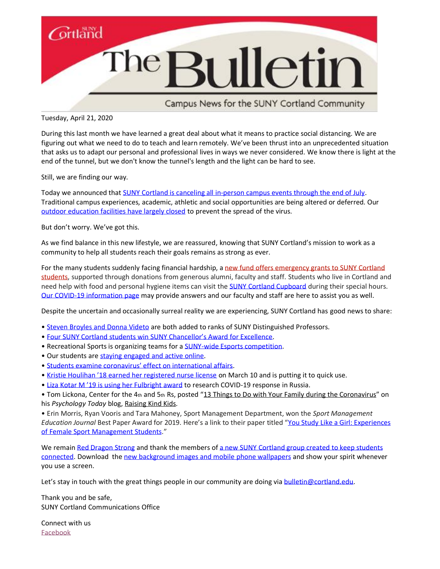

Campus News for the SUNY Cortland Community

Tuesday, April 21, 2020

During this last month we have learned a great deal about what it means to practice social distancing. We are figuring out what we need to do to teach and learn remotely. We've been thrust into an unprecedented situation that asks us to adapt our personal and professional lives in ways we never considered. We know there is light at the end of the tunnel, but we don't know the tunnel's length and the light can be hard to see.

Still, we are finding our way.

Today we announced that [SUNY Cortland is canceling all in-person campus events through the end of July.](https://www2.cortland.edu/news/detail.dot?id=f6db1402-3b92-4036-8ac7-f80b056f0302) Traditional campus experiences, academic, athletic and social opportunities are being altered or deferred. Our [outdoor education facilities have largely closed](http://www2.cortland.edu/news/detail.dot?id=8b0d76ac-2988-4157-afc1-d1d799dab3d8) to prevent the spread of the virus.

But don't worry. We've got this.

As we find balance in this new lifestyle, we are reassured, knowing that SUNY Cortland's mission to work as a community to help all students reach their goals remains as strong as ever.

For the many students suddenly facing financial hardship, a new fund offers emergency grants to SUNY Cortland [students,](http://www2.cortland.edu/news/detail.dot?id=a4136993-cf1a-4969-8d0e-a7e463f3171a) supported through donations from generous alumni, faculty and staff. Students who live in Cortland and need help with food and personal hygiene items can visit the [SUNY Cortland Cupboard](http://www2.cortland.edu/offices/student-health-service/coronavirus/detail.dot?id=955f02d4-c36f-455d-b19a-e8a96b2af228) during their special hours. [Our COVID-19 information page](http://www2.cortland.edu/offices/student-health-service/coronavirus/) may provide answers and our faculty and staff are here to assist you as well.

Despite the uncertain and occasionally surreal reality we are experiencing, SUNY Cortland has good news to share:

- [Steven Broyles and Donna Videto](http://www2.cortland.edu/news/detail.dot?id=5840fff2-e41d-4f8f-8a80-62bb3f6cfdc6) are both added to ranks of SUNY Distinguished Professors.
- [Four SUNY Cortland students win SUNY Chancellor](http://www2.cortland.edu/news/detail.dot?id=17ae60d8-baa9-46b2-b395-3268f1fff2d6)'s Award for Excellence.
- Recreational Sports is organizing teams for a [SUNY-wide Esports competition.](http://www2.cortland.edu/news/detail.dot?id=89bfe2a5-ed31-4606-8ba8-de78827a13bf)
- Our students are staying engaged [and active online.](http://www2.cortland.edu/news/detail.dot?id=928c5a85-608e-44f7-8d2f-019601aa4cf6)
- Students examine coronaviru[s' effect on international affairs](http://www2.cortland.edu/news/detail.dot?id=d65da166-6f0e-4e90-8740-6fbfd6fe6703).
- • [Kristie Houlihan '18 earned her registered nurse license](https://www2.cortland.edu/news/detail.dot?id=76544ea1-8089-4b65-aebb-ef4809528192) on March 10 and is putting it to quick use.
- Liza Kotar M '19 [is using her Fulbright award](http://www2.cortland.edu/news/detail.dot?id=e15a8147-378e-4567-b76d-4381794df9ad) to research COVID-19 response in Russia.

• Tom Lickona, Center for the 4th and 5th Rs, posted "13 Things to Do with Your Family during the [Coronavirus](https://www.psychologytoday.com/us/blog/raising-kind-kids/202004/13-things-do-your-family-during-the-coronavirus)" on his *Psychology Today* blog, [Raising](https://www.psychologytoday.com/us/blog/raising-kind-kids) Kind Kids.

• Erin Morris, Ryan Vooris and Tara Mahoney, Sport Management Department, won the *Sport Management Education Journal* Best Paper Award for 2019. Here's a link to their paper titled "You Study Like a Girl: [Experiences](https://journals.humankinetics.com/view/journals/smej/13/2/article-p63.xml) of Female Sport [Management](https://journals.humankinetics.com/view/journals/smej/13/2/article-p63.xml) Students."

We remain [Red Dragon Strong](https://video.cortland.edu/Watch/RedDragonStrong) and thank the members o[f a new SUNY Cortland group created](http://www2.cortland.edu/offices/student-health-service/coronavirus/detail.dot?id=735af1df-d20d-40e3-9dbc-8793285a4d75) to keep students [connected.](http://www2.cortland.edu/offices/student-health-service/coronavirus/detail.dot?id=735af1df-d20d-40e3-9dbc-8793285a4d75) Download the [new background images and mobile](http://www2.cortland.edu/offices/publications/communication-guide/graphic-elements/#background-images-and-wallpapers) phone wallpapers and show your spirit whenever you use a screen.

Let's stay in touch with the great things people in our community are doing via [bulletin@cortland.edu.](mailto:bulletin@cortland.edu)

Thank you and be safe, SUNY Cortland Communications Office

Connect with us [Facebook](https://www.facebook.com/sunycortland/)